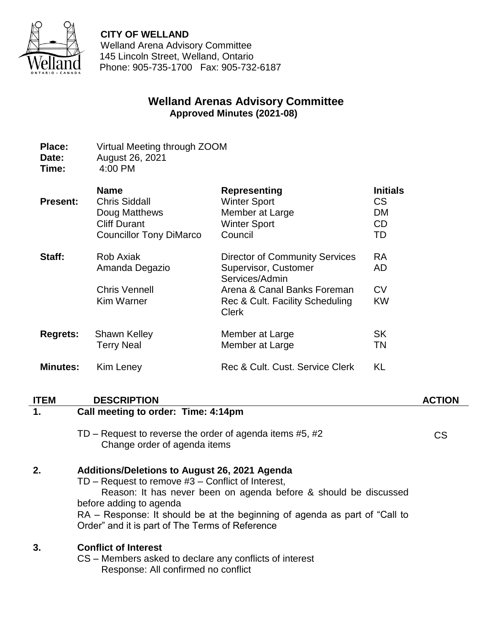

**CITY OF WELLAND**

Welland Arena Advisory Committee 145 Lincoln Street, Welland, Ontario Phone: 905-735-1700 Fax: 905-732-6187

# **Welland Arenas Advisory Committee Approved Minutes (2021-08)**

- **Place:** Virtual Meeting through ZOOM **Date:** August 26, 2021
- **Time:** 4:00 PM

| <b>Present:</b> | <b>Name</b>                                                                     | <b>Representing</b>                                                                                                                                               | <b>Initials</b>                           |
|-----------------|---------------------------------------------------------------------------------|-------------------------------------------------------------------------------------------------------------------------------------------------------------------|-------------------------------------------|
|                 | <b>Chris Siddall</b>                                                            | <b>Winter Sport</b>                                                                                                                                               | <b>CS</b>                                 |
|                 | Doug Matthews                                                                   | Member at Large                                                                                                                                                   | <b>DM</b>                                 |
|                 | <b>Cliff Durant</b>                                                             | <b>Winter Sport</b>                                                                                                                                               | CD                                        |
|                 | <b>Councillor Tony DiMarco</b>                                                  | Council                                                                                                                                                           | TD                                        |
| Staff:          | <b>Rob Axiak</b><br>Amanda Degazio<br><b>Chris Vennell</b><br><b>Kim Warner</b> | <b>Director of Community Services</b><br>Supervisor, Customer<br>Services/Admin<br>Arena & Canal Banks Foreman<br>Rec & Cult. Facility Scheduling<br><b>Clerk</b> | <b>RA</b><br>AD<br><b>CV</b><br><b>KW</b> |
| <b>Regrets:</b> | <b>Shawn Kelley</b>                                                             | Member at Large                                                                                                                                                   | <b>SK</b>                                 |
|                 | <b>Terry Neal</b>                                                               | Member at Large                                                                                                                                                   | TN                                        |
| <b>Minutes:</b> | Kim Leney                                                                       | Rec & Cult. Cust. Service Clerk                                                                                                                                   | KL                                        |

### **ITEM DESCRIPTION ACTION**

# **1. Call meeting to order: Time: 4:14pm**

TD – Request to reverse the order of agenda items #5, #2 Change order of agenda items

CS

# **2. Additions/Deletions to August 26, 2021 Agenda**

TD – Request to remove #3 – Conflict of Interest, Reason: It has never been on agenda before & should be discussed before adding to agenda RA – Response: It should be at the beginning of agenda as part of "Call to Order" and it is part of The Terms of Reference

# **3. Conflict of Interest**

CS – Members asked to declare any conflicts of interest Response: All confirmed no conflict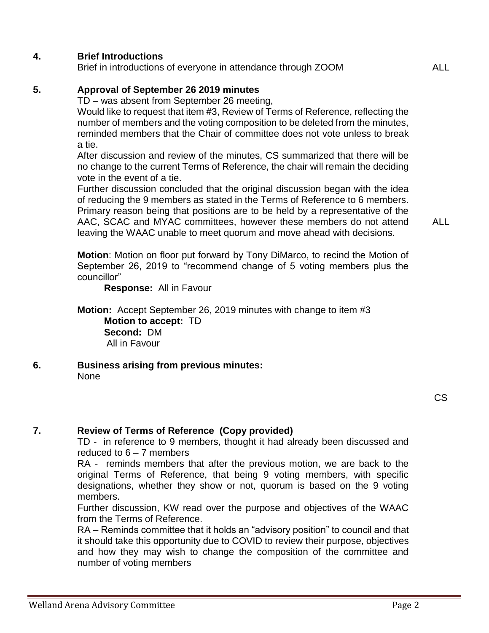### **4. Brief Introductions**

Brief in introductions of everyone in attendance through ZOOM ALL

### **5. Approval of September 26 2019 minutes**

TD – was absent from September 26 meeting,

Would like to request that item #3, Review of Terms of Reference, reflecting the number of members and the voting composition to be deleted from the minutes, reminded members that the Chair of committee does not vote unless to break a tie.

After discussion and review of the minutes, CS summarized that there will be no change to the current Terms of Reference, the chair will remain the deciding vote in the event of a tie.

Further discussion concluded that the original discussion began with the idea of reducing the 9 members as stated in the Terms of Reference to 6 members. Primary reason being that positions are to be held by a representative of the AAC, SCAC and MYAC committees, however these members do not attend leaving the WAAC unable to meet quorum and move ahead with decisions.

ALL

**Motion**: Motion on floor put forward by Tony DiMarco, to recind the Motion of September 26, 2019 to "recommend change of 5 voting members plus the councillor"

**Response:** All in Favour

**Motion:** Accept September 26, 2019 minutes with change to item #3 **Motion to accept:** TD **Second:** DM All in Favour

**6. Business arising from previous minutes:** None

### **7. Review of Terms of Reference (Copy provided)**

TD - in reference to 9 members, thought it had already been discussed and reduced to 6 – 7 members

RA - reminds members that after the previous motion, we are back to the original Terms of Reference, that being 9 voting members, with specific designations, whether they show or not, quorum is based on the 9 voting members.

Further discussion, KW read over the purpose and objectives of the WAAC from the Terms of Reference.

RA – Reminds committee that it holds an "advisory position" to council and that it should take this opportunity due to COVID to review their purpose, objectives and how they may wish to change the composition of the committee and number of voting members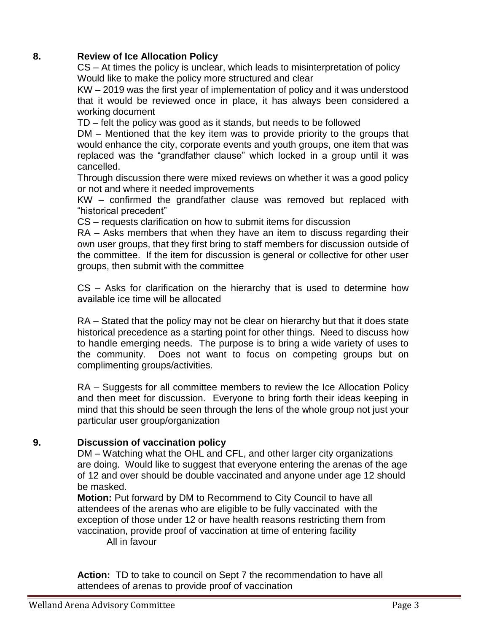### **8. Review of Ice Allocation Policy**

CS – At times the policy is unclear, which leads to misinterpretation of policy Would like to make the policy more structured and clear

KW – 2019 was the first year of implementation of policy and it was understood that it would be reviewed once in place, it has always been considered a working document

TD – felt the policy was good as it stands, but needs to be followed

DM – Mentioned that the key item was to provide priority to the groups that would enhance the city, corporate events and youth groups, one item that was replaced was the "grandfather clause" which locked in a group until it was cancelled.

Through discussion there were mixed reviews on whether it was a good policy or not and where it needed improvements

KW – confirmed the grandfather clause was removed but replaced with "historical precedent"

CS – requests clarification on how to submit items for discussion

RA – Asks members that when they have an item to discuss regarding their own user groups, that they first bring to staff members for discussion outside of the committee. If the item for discussion is general or collective for other user groups, then submit with the committee

CS – Asks for clarification on the hierarchy that is used to determine how available ice time will be allocated

RA – Stated that the policy may not be clear on hierarchy but that it does state historical precedence as a starting point for other things. Need to discuss how to handle emerging needs. The purpose is to bring a wide variety of uses to the community. Does not want to focus on competing groups but on complimenting groups/activities.

RA – Suggests for all committee members to review the Ice Allocation Policy and then meet for discussion. Everyone to bring forth their ideas keeping in mind that this should be seen through the lens of the whole group not just your particular user group/organization

### **9. Discussion of vaccination policy**

DM – Watching what the OHL and CFL, and other larger city organizations are doing. Would like to suggest that everyone entering the arenas of the age of 12 and over should be double vaccinated and anyone under age 12 should be masked.

**Motion:** Put forward by DM to Recommend to City Council to have all attendees of the arenas who are eligible to be fully vaccinated with the exception of those under 12 or have health reasons restricting them from vaccination, provide proof of vaccination at time of entering facility All in favour

**Action:** TD to take to council on Sept 7 the recommendation to have all attendees of arenas to provide proof of vaccination